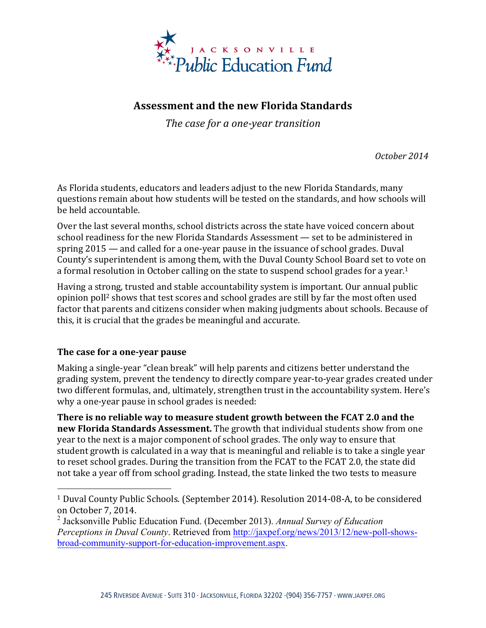

## **Assessment and the new Florida Standards**

The case for a one-year transition

*October 2014*

As Florida students, educators and leaders adjust to the new Florida Standards, many questions remain about how students will be tested on the standards, and how schools will be held accountable.

Over the last several months, school districts across the state have voiced concern about school readiness for the new Florida Standards Assessment — set to be administered in spring  $2015$  — and called for a one-year pause in the issuance of school grades. Duval County's superintendent is among them, with the Duval County School Board set to vote on a formal resolution in October calling on the state to suspend school grades for a year.<sup>1</sup>

Having a strong, trusted and stable accountability system is important. Our annual public opinion poll<sup>2</sup> shows that test scores and school grades are still by far the most often used factor that parents and citizens consider when making judgments about schools. Because of this, it is crucial that the grades be meaningful and accurate.

## The case for a one-year pause

 

Making a single-year "clean break" will help parents and citizens better understand the grading system, prevent the tendency to directly compare year-to-year grades created under two different formulas, and, ultimately, strengthen trust in the accountability system. Here's why a one-year pause in school grades is needed:

**There is no reliable way to measure student growth between the FCAT 2.0 and the new Florida Standards Assessment.** The growth that individual students show from one year to the next is a major component of school grades. The only way to ensure that student growth is calculated in a way that is meaningful and reliable is to take a single year to reset school grades. During the transition from the FCAT to the FCAT 2.0, the state did not take a year off from school grading. Instead, the state linked the two tests to measure

<sup>&</sup>lt;sup>1</sup> Duval County Public Schools. (September 2014). Resolution 2014-08-A, to be considered on October 7, 2014. 

<sup>2</sup> Jacksonville Public Education Fund. (December 2013). *Annual Survey of Education Perceptions in Duval County*. Retrieved from http://jaxpef.org/news/2013/12/new-poll-showsbroad-community-support-for-education-improvement.aspx.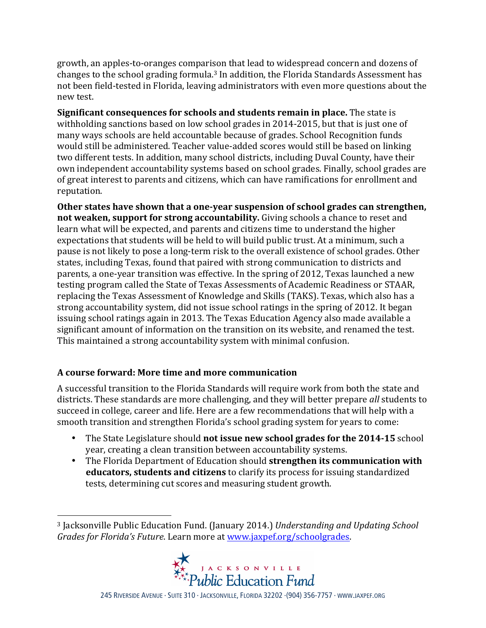growth, an apples-to-oranges comparison that lead to widespread concern and dozens of changes to the school grading formula.<sup>3</sup> In addition, the Florida Standards Assessment has not been field-tested in Florida, leaving administrators with even more questions about the new test.

**Significant consequences for schools and students remain in place.** The state is withholding sanctions based on low school grades in 2014-2015, but that is just one of many ways schools are held accountable because of grades. School Recognition funds would still be administered. Teacher value-added scores would still be based on linking two different tests. In addition, many school districts, including Duval County, have their own independent accountability systems based on school grades. Finally, school grades are of great interest to parents and citizens, which can have ramifications for enrollment and reputation. 

**Other states have shown that a one-year suspension of school grades can strengthen, not weaken, support for strong accountability.** Giving schools a chance to reset and learn what will be expected, and parents and citizens time to understand the higher expectations that students will be held to will build public trust. At a minimum, such a pause is not likely to pose a long-term risk to the overall existence of school grades. Other states, including Texas, found that paired with strong communication to districts and parents, a one-year transition was effective. In the spring of 2012, Texas launched a new testing program called the State of Texas Assessments of Academic Readiness or STAAR, replacing the Texas Assessment of Knowledge and Skills (TAKS). Texas, which also has a strong accountability system, did not issue school ratings in the spring of 2012. It began issuing school ratings again in 2013. The Texas Education Agency also made available a significant amount of information on the transition on its website, and renamed the test. This maintained a strong accountability system with minimal confusion.

## **A course forward: More time and more communication**

 

A successful transition to the Florida Standards will require work from both the state and districts. These standards are more challenging, and they will better prepare all students to succeed in college, career and life. Here are a few recommendations that will help with a smooth transition and strengthen Florida's school grading system for years to come:

- The State Legislature should **not issue new school grades for the 2014-15** school year, creating a clean transition between accountability systems.
- The Florida Department of Education should strengthen its communication with **educators, students and citizens** to clarify its process for issuing standardized tests, determining cut scores and measuring student growth.

<sup>&</sup>lt;sup>3</sup> Jacksonville Public Education Fund. (January 2014.) *Understanding and Updating School Grades for Florida's Future.* Learn more at www.jaxpef.org/schoolgrades.